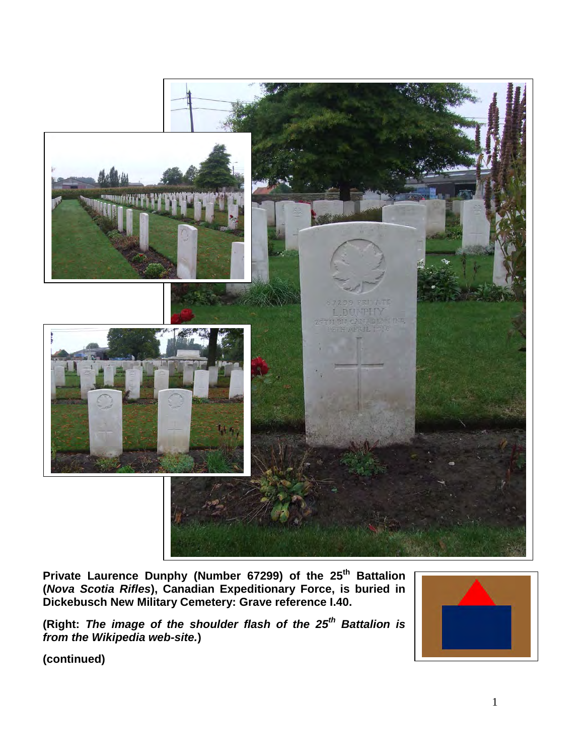

**Private Laurence Dunphy (Number 67299) of the 25th Battalion (***Nova Scotia Rifles***), Canadian Expeditionary Force, is buried in Dickebusch New Military Cemetery: Grave reference I.40.** 

**(Right:** *The image of the shoulder flash of the 25th Battalion is from the Wikipedia web-site.***)** 

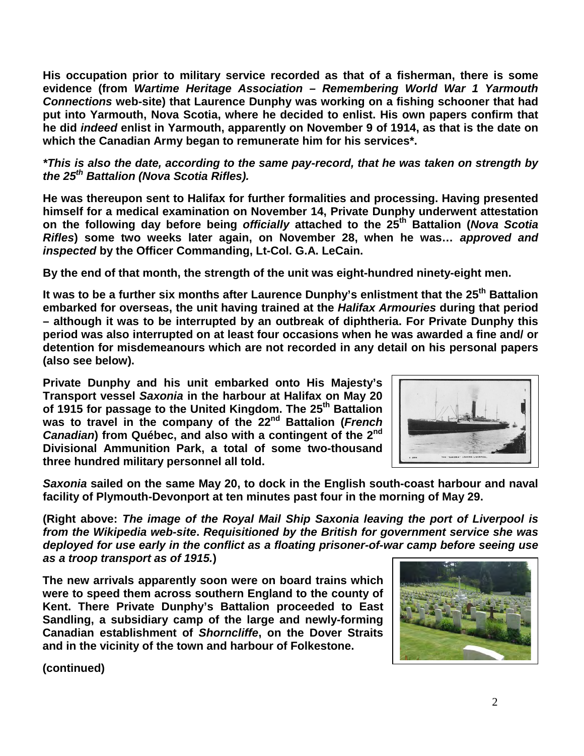**His occupation prior to military service recorded as that of a fisherman, there is some evidence (from** *Wartime Heritage Association – Remembering World War 1 Yarmouth Connections* **web-site) that Laurence Dunphy was working on a fishing schooner that had put into Yarmouth, Nova Scotia, where he decided to enlist. His own papers confirm that he did** *indeed* **enlist in Yarmouth, apparently on November 9 of 1914, as that is the date on which the Canadian Army began to remunerate him for his services\*.** 

*\*This is also the date, according to the same pay-record, that he was taken on strength by the 25th Battalion (Nova Scotia Rifles).*

**He was thereupon sent to Halifax for further formalities and processing. Having presented himself for a medical examination on November 14, Private Dunphy underwent attestation on the following day before being** *officially* **attached to the 25th Battalion (***Nova Scotia Rifles***) some two weeks later again, on November 28, when he was…** *approved and inspected* **by the Officer Commanding, Lt-Col. G.A. LeCain.** 

**By the end of that month, the strength of the unit was eight-hundred ninety-eight men.**

**It was to be a further six months after Laurence Dunphy's enlistment that the 25th Battalion embarked for overseas, the unit having trained at the** *Halifax Armouries* **during that period – although it was to be interrupted by an outbreak of diphtheria. For Private Dunphy this period was also interrupted on at least four occasions when he was awarded a fine and/ or detention for misdemeanours which are not recorded in any detail on his personal papers (also see below).** 

**Private Dunphy and his unit embarked onto His Majesty's Transport vessel** *Saxonia* **in the harbour at Halifax on May 20 of 1915 for passage to the United Kingdom. The 25th Battalion**  was to travel in the company of the 22<sup>nd</sup> Battalion (*French Canadian***) from Québec, and also with a contingent of the 2nd Divisional Ammunition Park, a total of some two-thousand three hundred military personnel all told.** 



*Saxonia* **sailed on the same May 20, to dock in the English south-coast harbour and naval facility of Plymouth-Devonport at ten minutes past four in the morning of May 29.**

**(Right above:** *The image of the Royal Mail Ship Saxonia leaving the port of Liverpool is from the Wikipedia web-site***.** *Requisitioned by the British for government service she was deployed for use early in the conflict as a floating prisoner-of-war camp before seeing use as a troop transport as of 1915.***)** 

**The new arrivals apparently soon were on board trains which were to speed them across southern England to the county of Kent. There Private Dunphy's Battalion proceeded to East Sandling, a subsidiary camp of the large and newly-forming Canadian establishment of** *Shorncliffe***, on the Dover Straits and in the vicinity of the town and harbour of Folkestone.** 

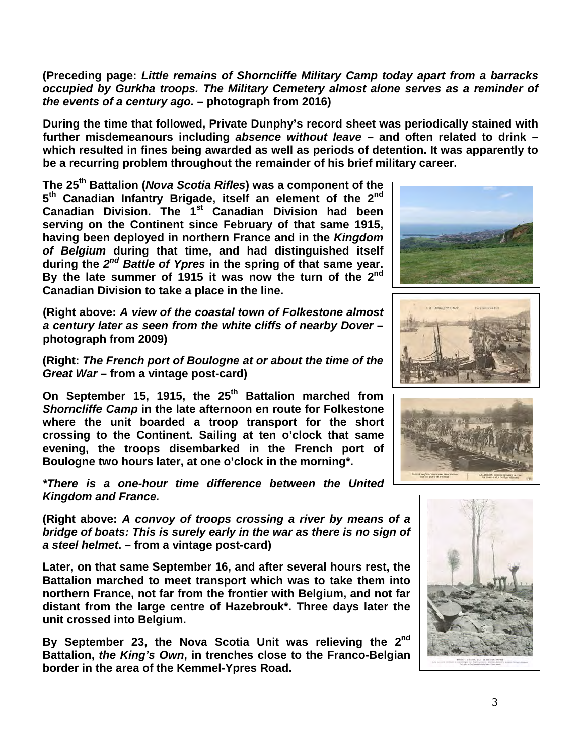**(Preceding page:** *Little remains of Shorncliffe Military Camp today apart from a barracks occupied by Gurkha troops. The Military Cemetery almost alone serves as a reminder of the events of a century ago.* **– photograph from 2016)**

**During the time that followed, Private Dunphy's record sheet was periodically stained with further misdemeanours including** *absence without leave* **– and often related to drink – which resulted in fines being awarded as well as periods of detention. It was apparently to be a recurring problem throughout the remainder of his brief military career.**

**The 25th Battalion (***Nova Scotia Rifles***) was a component of the 5th Canadian Infantry Brigade, itself an element of the 2nd Canadian Division. The 1st Canadian Division had been serving on the Continent since February of that same 1915, having been deployed in northern France and in the** *Kingdom of Belgium* **during that time, and had distinguished itself during the** *2nd Battle of Ypres* **in the spring of that same year. By the late summer of 1915 it was now the turn of the 2nd Canadian Division to take a place in the line.**

**(Right above:** *A view of the coastal town of Folkestone almost a century later as seen from the white cliffs of nearby Dover* **– photograph from 2009)**

**(Right:** *The French port of Boulogne at or about the time of the Great War* **– from a vintage post-card)**

**On September 15, 1915, the 25th Battalion marched from** *Shorncliffe Camp* **in the late afternoon en route for Folkestone where the unit boarded a troop transport for the short crossing to the Continent. Sailing at ten o'clock that same evening, the troops disembarked in the French port of Boulogne two hours later, at one o'clock in the morning\*.**

*\*There is a one-hour time difference between the United Kingdom and France.*

**(Right above:** *A convoy of troops crossing a river by means of a bridge of boats: This is surely early in the war as there is no sign of a steel helmet***. – from a vintage post-card)**

**Later, on that same September 16, and after several hours rest, the Battalion marched to meet transport which was to take them into northern France, not far from the frontier with Belgium, and not far distant from the large centre of Hazebrouk\*. Three days later the unit crossed into Belgium.**

**By September 23, the Nova Scotia Unit was relieving the 2nd Battalion,** *the King's Own***, in trenches close to the Franco-Belgian border in the area of the Kemmel-Ypres Road.**







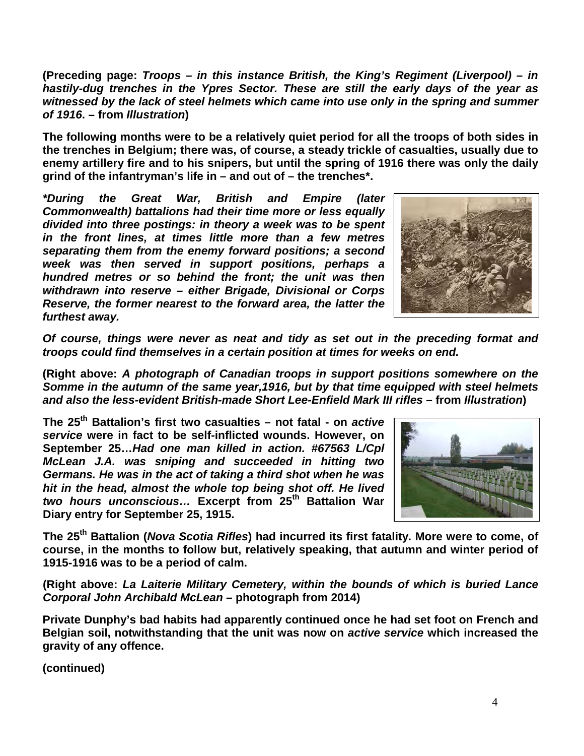**(Preceding page:** *Troops – in this instance British, the King's Regiment (Liverpool) – in hastily-dug trenches in the Ypres Sector. These are still the early days of the year as witnessed by the lack of steel helmets which came into use only in the spring and summer of 1916***. – from** *Illustration***)** 

**The following months were to be a relatively quiet period for all the troops of both sides in the trenches in Belgium; there was, of course, a steady trickle of casualties, usually due to enemy artillery fire and to his snipers, but until the spring of 1916 there was only the daily grind of the infantryman's life in – and out of – the trenches\*.** 

*\*During the Great War, British and Empire (later Commonwealth) battalions had their time more or less equally divided into three postings: in theory a week was to be spent in the front lines, at times little more than a few metres separating them from the enemy forward positions; a second week was then served in support positions, perhaps a hundred metres or so behind the front; the unit was then withdrawn into reserve – either Brigade, Divisional or Corps Reserve, the former nearest to the forward area, the latter the furthest away.* 



*Of course, things were never as neat and tidy as set out in the preceding format and troops could find themselves in a certain position at times for weeks on end.*

**(Right above:** *A photograph of Canadian troops in support positions somewhere on the Somme in the autumn of the same year,1916, but by that time equipped with steel helmets and also the less-evident British-made Short Lee-Enfield Mark III rifles* **– from** *Illustration***)** 

**The 25th Battalion's first two casualties – not fatal - on** *active service* **were in fact to be self-inflicted wounds. However, on September 25…***Had one man killed in action. #67563 L/Cpl McLean J.A. was sniping and succeeded in hitting two Germans. He was in the act of taking a third shot when he was hit in the head, almost the whole top being shot off. He lived two hours unconscious…* **Excerpt from 25th Battalion War Diary entry for September 25, 1915.** 



**The 25th Battalion (***Nova Scotia Rifles***) had incurred its first fatality. More were to come, of course, in the months to follow but, relatively speaking, that autumn and winter period of 1915-1916 was to be a period of calm.** 

**(Right above:** *La Laiterie Military Cemetery, within the bounds of which is buried Lance Corporal John Archibald McLean* **– photograph from 2014)**

**Private Dunphy's bad habits had apparently continued once he had set foot on French and Belgian soil, notwithstanding that the unit was now on** *active service* **which increased the gravity of any offence.**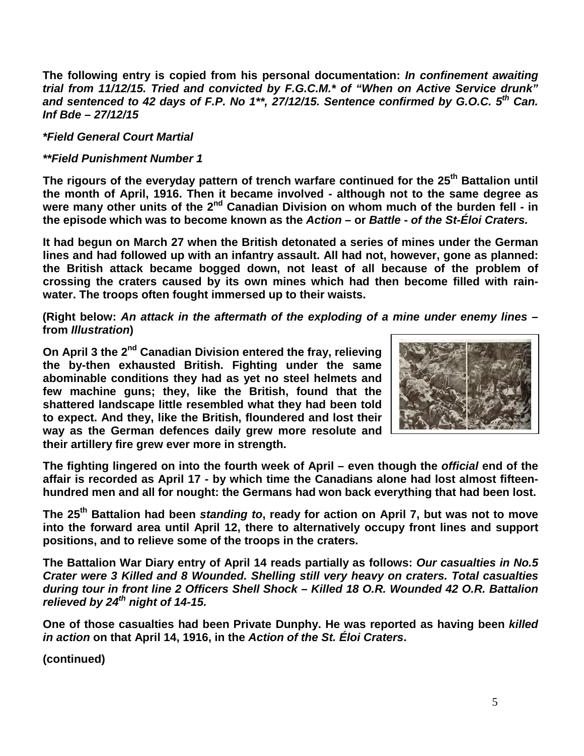**The following entry is copied from his personal documentation:** *In confinement awaiting trial from 11/12/15. Tried and convicted by F.G.C.M.\* of "When on Active Service drunk"*  and sentenced to 42 days of F.P. No 1<sup>\*\*</sup>, 27/12/15. Sentence confirmed by G.O.C. 5<sup>th</sup> Can. *Inf Bde – 27/12/15*

## *\*Field General Court Martial*

## *\*\*Field Punishment Number 1*

**The rigours of the everyday pattern of trench warfare continued for the 25th Battalion until the month of April, 1916. Then it became involved - although not to the same degree as were many other units of the 2nd Canadian Division on whom much of the burden fell - in the episode which was to become known as the** *Action* **– or** *Battle - of the St-Éloi Craters.*

**It had begun on March 27 when the British detonated a series of mines under the German lines and had followed up with an infantry assault. All had not, however, gone as planned: the British attack became bogged down, not least of all because of the problem of crossing the craters caused by its own mines which had then become filled with rainwater. The troops often fought immersed up to their waists.**

**(Right below:** *An attack in the aftermath of the exploding of a mine under enemy lines* **– from** *Illustration***)** 

**On April 3 the 2nd Canadian Division entered the fray, relieving the by-then exhausted British. Fighting under the same abominable conditions they had as yet no steel helmets and few machine guns; they, like the British, found that the shattered landscape little resembled what they had been told to expect. And they, like the British, floundered and lost their way as the German defences daily grew more resolute and their artillery fire grew ever more in strength.**



**The fighting lingered on into the fourth week of April – even though the** *official* **end of the affair is recorded as April 17 - by which time the Canadians alone had lost almost fifteenhundred men and all for nought: the Germans had won back everything that had been lost.**

**The 25th Battalion had been** *standing to***, ready for action on April 7, but was not to move into the forward area until April 12, there to alternatively occupy front lines and support positions, and to relieve some of the troops in the craters.** 

**The Battalion War Diary entry of April 14 reads partially as follows:** *Our casualties in No.5 Crater were 3 Killed and 8 Wounded. Shelling still very heavy on craters. Total casualties during tour in front line 2 Officers Shell Shock – Killed 18 O.R. Wounded 42 O.R. Battalion relieved by 24th night of 14-15.*

**One of those casualties had been Private Dunphy. He was reported as having been** *killed in action* **on that April 14, 1916, in the** *Action of the St. Éloi Craters***.**